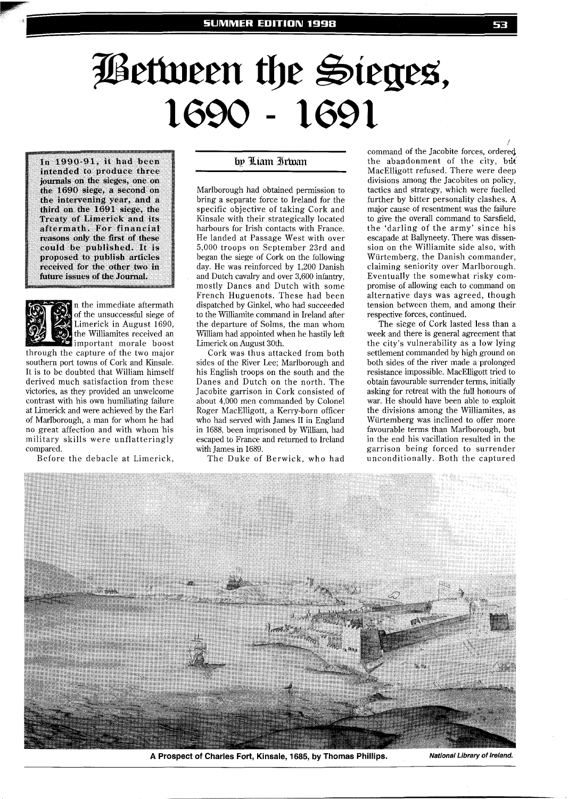## **Between the Sieges,**

In 1990-91, it had been intended to produce three **journals on the sieges, one on the 1690 siege, a second on the intervening year, and a third on the 1691 siege, the Treaty of Limerick and its aftermath. For financial reasons only the first of these could be published. It is proposed to publish articles received for the other two in**  future issues of the Journal.



n the immediate aftermath of the unsuccessful siege of Limerick in August 1690, the Williamites received an important morale boost

through the capture of the two major southern port towns of Cork and Kinsale. It is to be doubted that William himself derived much satisfaction from these victories, as they provided an unwelcome contrast with his own humiliating failure at Limerick and were achieved by the Earl of Marlborough, a man for whom he had no great affection and with whom his military skills were unflatteringly compared.

Before the debacle at Limerick,

## by Liam Irwan

Marlborough had obtained permission to bring a separate force to Ireland for the specific objective of taking Cork and Kinsale with their strategically located harbours for Irish contacts with France. He landed at Passage West with over 5,000 troops on September 23rd and began the siege of Cork on the following day. He was reinforced by 1,200 Danish and Dutch cavalry and over 3,600 infantry, mostly Danes and Dutch with some French Huguenots. These had been dispatched by Ginkel, who had succeeded to the Williamite command in Ireland after the departure of Solms, the man whom William had appointed when he hastily left Limerick on August 30th.

Cork was thus attacked from both sides of the River Lee; Marlborough and his English troops on the south and the Danes and Dutch on the north. The Jacobite garrison in Cork consisted of about 4,000 men commanded by Colonel Roger MacElligott, a Kerry-born officer who had served with James II in England in 1688, been imprisoned by William, had escaped to France and returned to Ireland with James in 1689.

The Duke of Berwick, who had

command of the Jacobite forces, ordered the abandonment of the city, but MacElligott refused. There were deep divisions among the Jacobites on policy, tactics and strategy, which were fuelled further by bitter personality clashes. A major cause of resentment was the failure to give the overall command to Sarsfield, the 'darling of the army' since his escapade at Ballyneety. There was dissension on the Williamite side also, with Wiirtemberg, the Danish commander, claiming seniority over Marlborough. Eventually the somewhat risky compromise of allowing each to command on alternative days was agreed, though tension between them, and among their respective forces, continued.

The siege of Cork lasted less than a week and there is general agreement that the city's vulnerability as a low lying settlement commanded by high ground on both sides of the river made a prolonged resistance impossible. MacElligott tried to obtain favourable surrender terms, initially asking for retreat with the full honours of war. He should have been able to exploit the divisions among the Williamites, as Wiirtemberg was inclined to offer more favourable terms than Marlborough, but in the end his vacillation resulted in the garrison being forced to surrender unconditionally. Both the captured



**A Prospect of Charles Fort, Kinsale, 1685, by Thomas Phillips. National Library of Ireland.**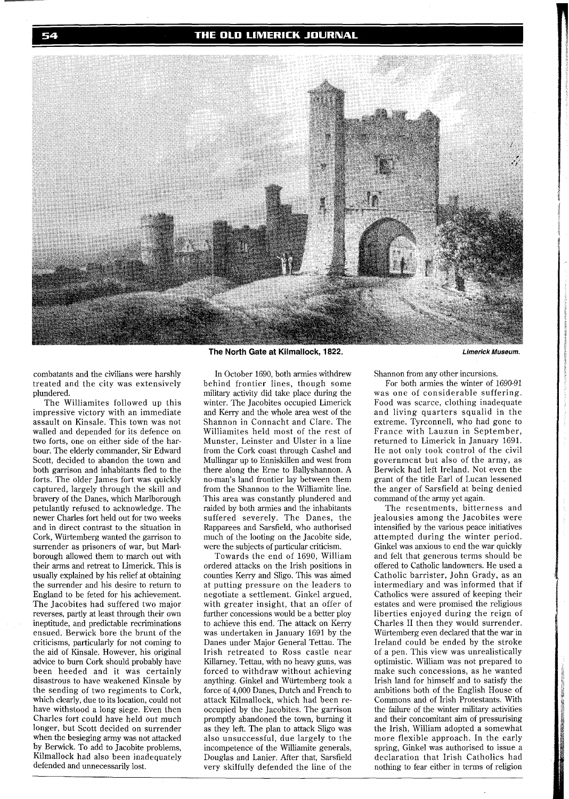

combatants and the civilians were harshly treated and the city was extensively plundered.

The Williamites followed up this impressive victory with an immediate assault on Kinsale. This town was not walled and depended for its defence on two forts, one on either side of the harbour. The elderly commander, Sir Edward Scott, decided to abandon the town and both garrison and inhabitants fled to the forts. The older James fort was quickly captured, largely through the skill and bravery of the Danes, which Marlborough petulantly refused to acknowledge. The newer Charles fort held out for two weeks and in direct contrast to the situation in Cork, Wiirtemberg wanted the garrison to surrender as prisoners of war, but Marlborough allowed them to march out with their arms and retreat to Limerick. This is usually explained by his relief at obtaining the surrender and his desire to return to England to be feted for his achievement. The Jacobites had suffered two major reverses, partly at least through their own ineptitude, and predictable recriminations ensued. Berwick bore the brunt of the criticisms, particularly for not coming to the aid of Kinsale. However, his original advice to burn Cork should probably have been heeded and it was certainly disastrous to have weakened Kinsale by the sending of two regiments to Cork, which clearly, due to its location, could not have withstood a long siege. Even then Charles fort could have held out much longer, but Scott decided on surrender when the besieging army was not attacked by Berwick. To add to Jacobite problems, Kilmallock had also been inadequately defended and unnecessarily lost.

**The North Gate at Kilmallock, 1822.** 

In October 1690, both armies withdrew behind frontier lines, though some military activity did take place during the winter. The Jacobites occupied Limerick and Kerry and the whole area west of the Shannon in Connacht and Clare. The Williamites held most of the rest of Munster, Leinster and Ulster in a line from the Cork coast through Cashel and Mullingar up to Enniskillen and west from there along the Erne to Ballyshannon. A no-man's land frontier lay between them from the Shannon to the Williamite line. This area was constantly plundered and raided by both armies and the inhabitants suffered severely. The Danes, the Rapparees and Sarsfield, who authorised much of the looting on the Jacobite side, were the subjects of particular criticism.

Towards the end of 1690, William ordered attacks on the Irish positions in counties Kerry and Sligo. This was aimed at putting pressure on the leaders to negotiate a settlement. Ginkel argued, with greater insight, that an offer of further concessions would be a better ploy to achieve this end. The attack on Kerry was undertaken in January 1691 by the Danes under Major General Tettau. The Irish retreated to Ross castle near Killarney. Tettau, with no heavy guns, was forced to withdraw without achieving anything. Ginkel and Wiirtemberg took a force of 4,000 Danes, Dutch and French to attack Kilmallock, which had been reoccupied by the Jacobites. The garrison promptly abandoned the town, burning it as they left. The plan to attack Sligo was also unsuccessful, due largely to the incompetence of the Williamite generals, Douglas and Lanier. After that, Sarsfield very skilfully defended the line of the

Shannon from any other incursions.

For both armies the winter of 1690-91 was one of considerable suffering. Food was scarce, clothing inadequate and living quarters squalid in the extreme. Tyrconnell, who had gone to France with Lauzun in September, returned to Limerick in January 1691. He not only took control of the civil government but also of the army, as Berwick had left Ireland. Not even the grant of the title Earl of Lucan lessened the anger of Sarsfield at being denied command of the army yet again.

The resentments, bitterness and jealousies among the Jacobites were intensified by the various peace initiatives attempted during the winter period. Ginkel was anxious to end the war quickly and felt that generous terms should be offered to Catholic landowners. He used a Catholic barrister, John Grady, as an intermediary and was informed that if Catholics were assured of keeping their estates and were promised the religious liberties enjoyed during the reign of Charles I1 then they would surrender. Wiirtemberg even declared that the war in Ireland could be ended by the stroke of a pen. This view was unrealistically optimistic. William was not prepared to make such concessions, as he wanted Irish land for himself and to satisfy the ambitions both of the English House of Commons and of Irish Protestants. With the failure of the winter military activities and their concomitant aim of pressurising the Irish, William adopted a somewhat more flexible approach. In the early spring, Ginkel was authorised to issue a declaration that Irish Catholics had nothing to fear either in terms of religion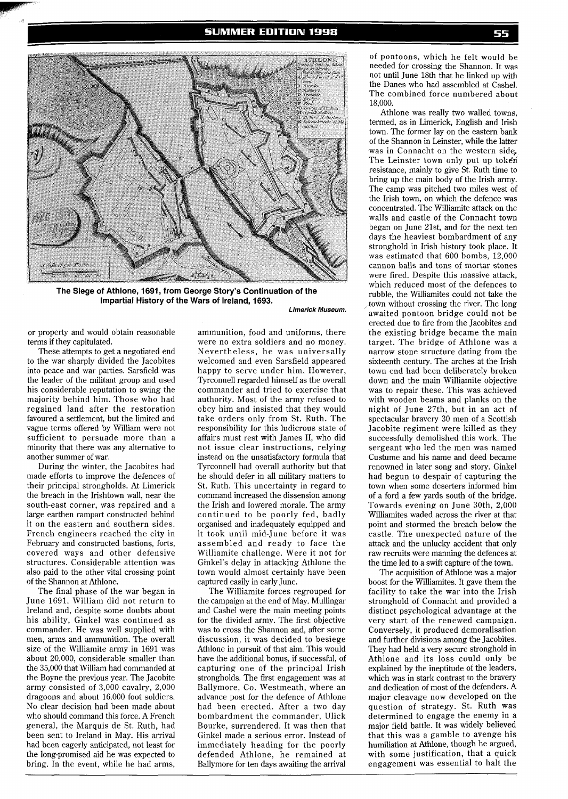

**The Siege of Athlone, 1691, from George Story's Continuation of the Impartial History of the Wars of Ireland. 1693.** 

**Limerick Museum.** 

or property and would obtain reasonable terms if they capitulated.

These attempts to get a negotiated end to the war sharply divided the Jacobites into peace and war parties. Sarsfield was the leader of the militant group and used his considerable reputation to swing the majority behind him. Those who had regained land after the restoration favoured a settlement, but the limited and vague terms offered by William were not sufficient to persuade more than a minority that there was any alternative to another summer of war.

During the winter, the Jacobites had made efforts to improve the defences of their principal strongholds. At Limerick the breach in the Irishtown wall, near the south-east corner, was repaired and a large earthen rampart constructed behind it on the eastern and southern sides. French engineers reached the city in February and constructed bastions, forts, covered ways and other defensive structures. Considerable attention was also paid to the other vital crossing point of the Shannon at Athlone.

The final phase of the war began in June 1691. William did not return to Ireland and, despite some doubts about his ability, Ginkel was continued as commander. He was well supplied with men, arms and ammunition. The overall size of the Williamite army in 1691 was about 20,000, considerable smaller than the 35,000 that William had commanded at the Boyne the previous year. The Jacobite army consisted of 3,000 cavalry, 2,000 dragoons and about 16.000 foot soldiers. No clear decision had been made about who should command this force. A French general, the Marquis de St. Ruth, had been sent to Ireland in May. His arrival had been eagerly anticipated, not least for the long-promised aid he was expected to bring. In the event, while he had arms,

ammunition, food and uniforms, there were no extra soldiers and no money. Nevertheless, he was universally welcomed and even Sarsfield appeared happy to serve under him. However, Tyrconnell regarded himself as the overall commander and tried to exercise that authority. Most of the army refused to obey him and insisted that they would take orders only from St. Ruth. The responsibility for this ludicrous state of affairs must rest with James 11, who did not issue clear instructions, relying instead on the unsatisfactory formula that Tyrconnell had overall authority but that he should defer in all military matters to St. Ruth. This uncertainty in regard to command increased the dissension among the Irish and lowered morale. The army continued to be poorly fed, badly organised and inadequately equipped and it took until mid-June before it was assembled and ready to face the Williamite challenge. Were it not for Ginkel's delay in attacking Athlone the town would almost certainly have been captured easily in early June.

The Williamite forces regrouped for the campaign at the end of May. Mullingar and Cashel were the main meeting points for the divided army. The first objective was to cross the Shannon and, after some discussion, it was decided to besiege Athlone in pursuit of that aim. This would have the additional bonus, if successful, of capturing one of the principal Irish strongholds. The first engagement was at Ballymore, Co. Westmeath, where an advance post for the defence of Athlone had been erected. After a two day bombardment the commander, Ulick Bourke, surrendered. It was then that Ginkel made a serious error. Instead of immediately heading for the poorly defended Athlone, he remained at Ballymore for ten days awaiting the arrival

of pontoons, which he felt would be needed for crossing the Shannon. It was not until June 18th that he linked up with the Danes who had assembled at Cashel. The combined force numbered about 18,000.

Athlone was really two walled towns, termed, as in Limerick, English and Irish town. The former lay on the eastern bank of the Shannon in Leinster, while the latter was in Connacht on the western side, The Leinster town only put up token resistance, mainly to give St. Ruth time to bring up the main body of the Irish army. The camp was pitched two miles west of the Irish town, on which the defence was concentrated. The Williamite attack on the walls and castle of the Connacht town began on June 21st, and for the next ten days the heaviest bombardment of any stronghold in Irish history took place. It was estimated that 600 bombs, 12,000 cannon balls and tons of mortar stones were fired. Despite this massive attack, which reduced most of the defences to rubble, the Williamites could not take the town without crossing the river. The long awaited pontoon bridge could not be erected due to fire from the Jacobites and the existing bridge became the main target. The bridge of Athlone was a narrow stone structure dating from the sixteenth century. The arches at the Irish town end had been deliberately broken down and the main Williamite objective was to repair these. This was achieved with wooden beams and planks on the night of June 27th, but in an act of spectacular bravery 30 men of a Scottish Jacobite regiment were killed as they successfully demolished this work. The sergeant who led the men was named Custume and his name and deed became renowned in later song and story. Ginkel had begun to despair of capturing the town when some deserters informed him of a ford a few yards south of the bridge. Towards evening on June 30th, 2,000 Williamites waded across the river at that point and stormed the breach below the castle. The unexpected nature of the attack and the unlucky accident that only raw recruits were manning the defences at the time led to a swift capture of the town.

The acquisition of Athlone was a major boost for the Williamites. It gave them the facility to take the war into the Irish stronghold of Connacht and provided a distinct psychological advantage at the very start of the renewed campaign. Conversely, it produced demoralisation and further divisions among the Jacobites. They had held a very secure stronghold in Athlone and its loss could only be explained by the ineptitude of the leaders, which was in stark contrast to the bravery and dedication of most of the defenders. A major cleavage now developed on the question of strategy. St. Ruth was determined to engage the enemy in a major field battle. It was widely believed that this was a gamble to avenge his humiliation at Athlone, though he argued, with some justification, that a quick engagement was essential to halt the